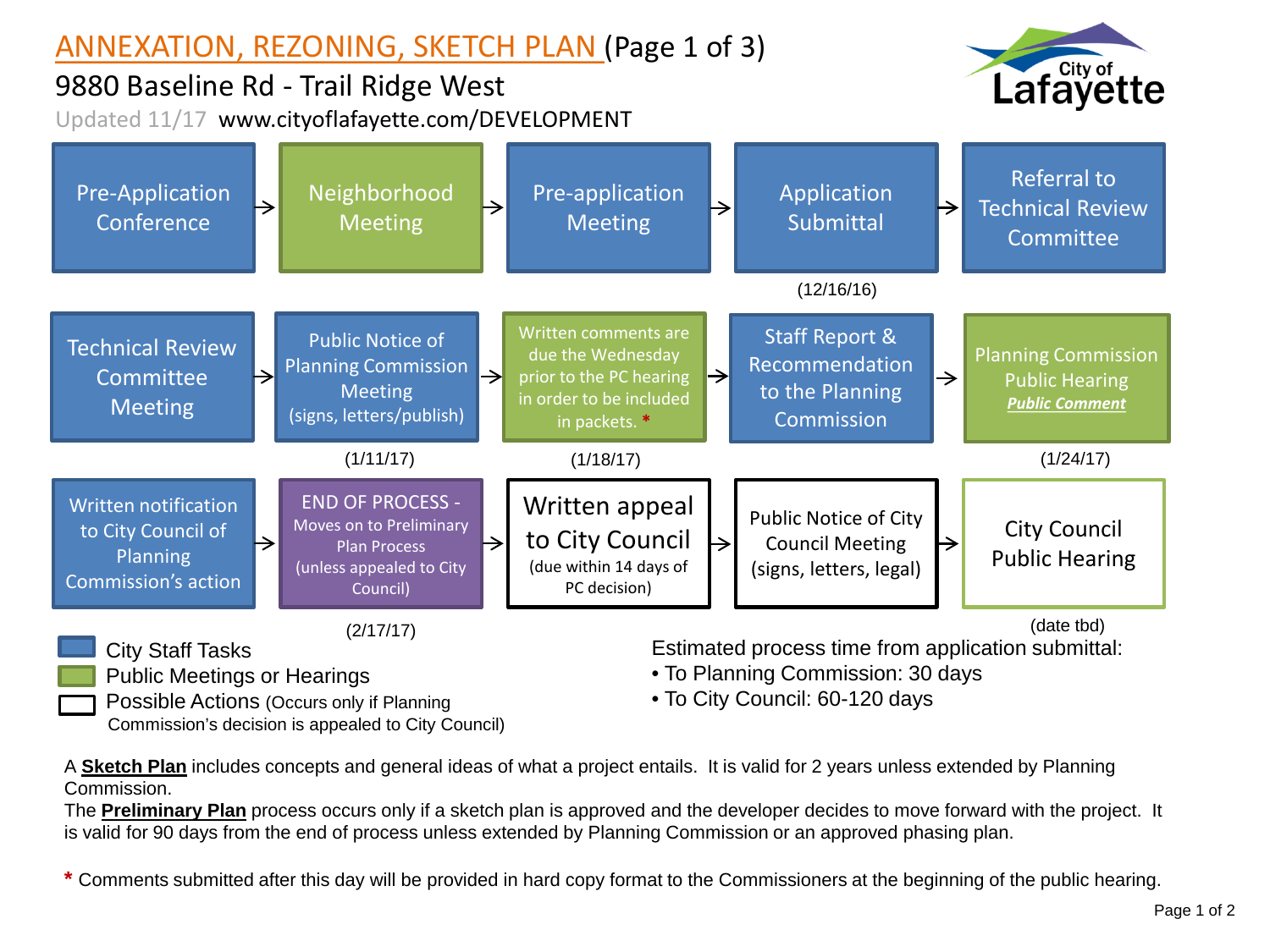## ANNEXATION, REZONING, SKETCH PLAN (Page 1 of 3)

9880 Baseline Rd - Trail Ridge West Updated 11/17 www.cityoflafayette.com/DEVELOPMENT





A **Sketch Plan** includes concepts and general ideas of what a project entails. It is valid for 2 years unless extended by Planning Commission.

The **Preliminary Plan** process occurs only if a sketch plan is approved and the developer decides to move forward with the project. It is valid for 90 days from the end of process unless extended by Planning Commission or an approved phasing plan.

**\*** Comments submitted after this day will be provided in hard copy format to the Commissioners at the beginning of the public hearing.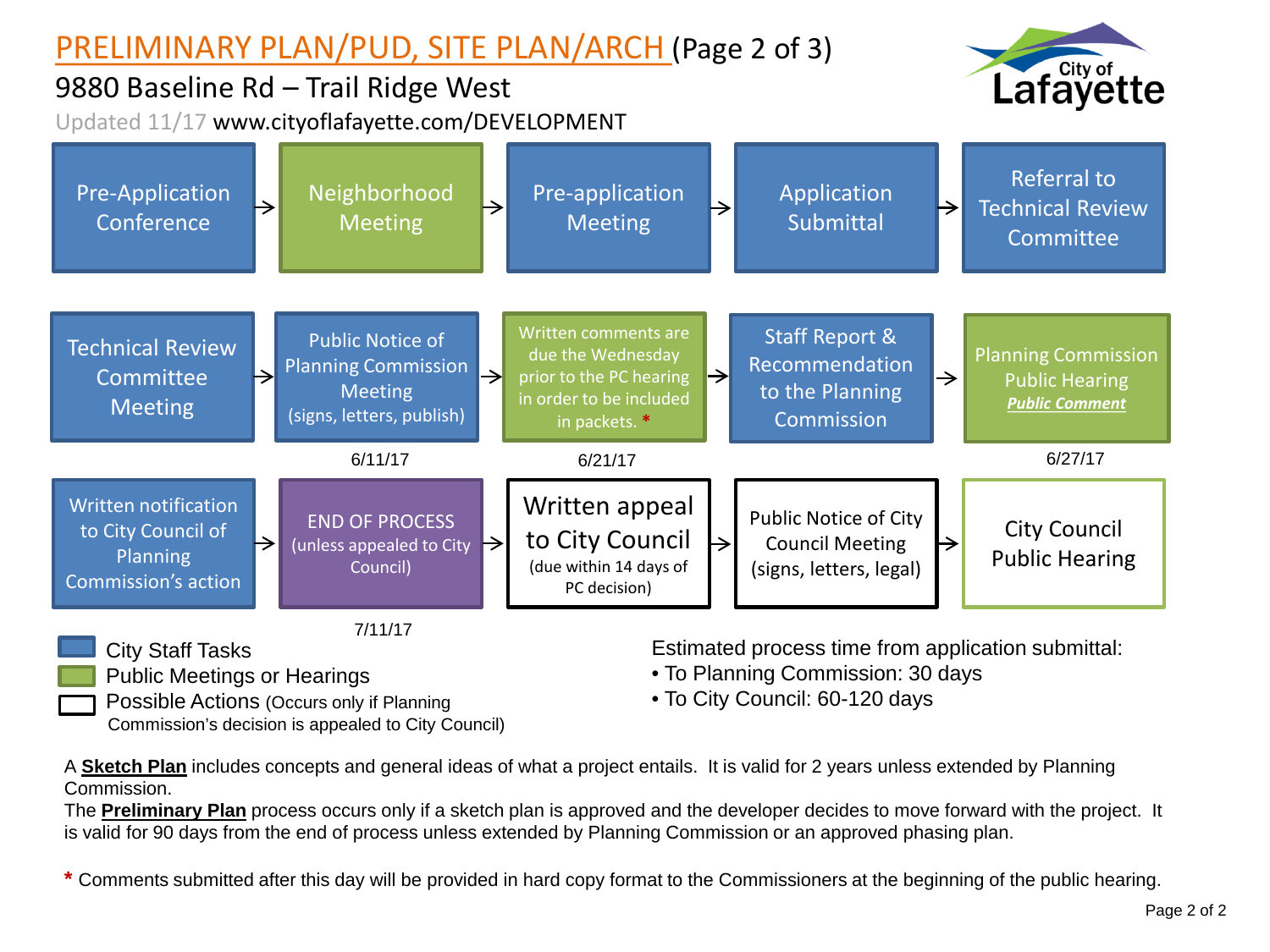## PRELIMINARY PLAN/PUD, SITE PLAN/ARCH (Page 2 of 3)



## 9880 Baseline Rd – Trail Ridge West

Updated 11/17 www.cityoflafayette.com/DEVELOPMENT



Public Meetings or Hearings

Possible Actions (Occurs only if Planning Commission's decision is appealed to City Council) Estimated process time from application submittal:

- To Planning Commission: 30 days
- To City Council: 60-120 days

A **Sketch Plan** includes concepts and general ideas of what a project entails. It is valid for 2 years unless extended by Planning Commission.

The **Preliminary Plan** process occurs only if a sketch plan is approved and the developer decides to move forward with the project. It is valid for 90 days from the end of process unless extended by Planning Commission or an approved phasing plan.

**\*** Comments submitted after this day will be provided in hard copy format to the Commissioners at the beginning of the public hearing.